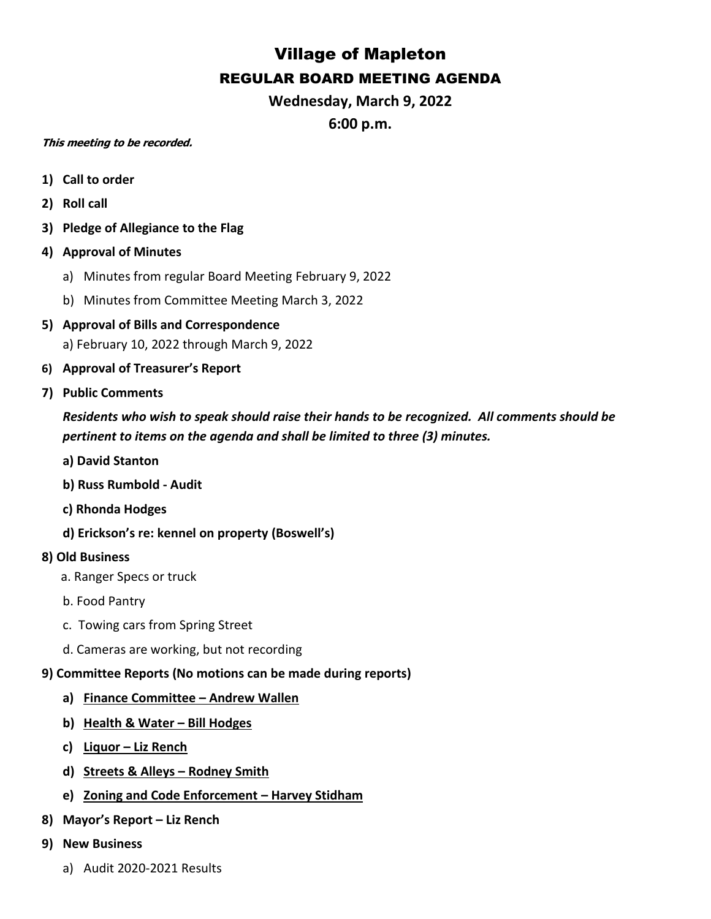## Village of Mapleton REGULAR BOARD MEETING AGENDA

**Wednesday, March 9, 2022**

**6:00 p.m.**

## **This meeting to be recorded.**

- **1) Call to order**
- **2) Roll call**
- **3) Pledge of Allegiance to the Flag**
- **4) Approval of Minutes**
	- a) Minutes from regular Board Meeting February 9, 2022
	- b) Minutes from Committee Meeting March 3, 2022
- **5) Approval of Bills and Correspondence** a) February 10, 2022 through March 9, 2022
- **6) Approval of Treasurer's Report**
- **7) Public Comments**

*Residents who wish to speak should raise their hands to be recognized. All comments should be pertinent to items on the agenda and shall be limited to three (3) minutes.*

- **a) David Stanton**
- **b) Russ Rumbold - Audit**
- **c) Rhonda Hodges**
- **d) Erickson's re: kennel on property (Boswell's)**

## **8) Old Business**

- a. Ranger Specs or truck
- b. Food Pantry
- c. Towing cars from Spring Street
- d. Cameras are working, but not recording

## **9) Committee Reports (No motions can be made during reports)**

- **a) Finance Committee – Andrew Wallen**
- **b) Health & Water – Bill Hodges**
- **c) Liquor – Liz Rench**
- **d) Streets & Alleys – Rodney Smith**
- **e) Zoning and Code Enforcement – Harvey Stidham**
- **8) Mayor's Report – Liz Rench**
- **9) New Business**
	- a) Audit 2020-2021 Results